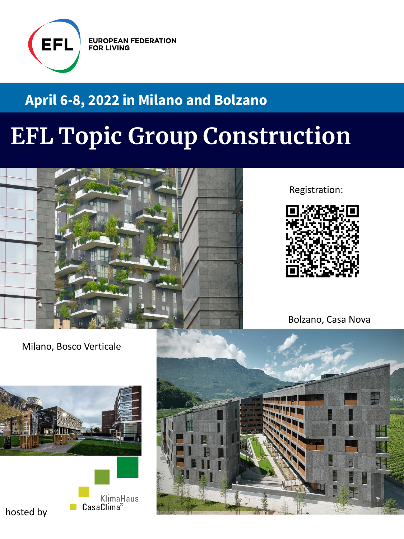

**EUROPEAN FEDERATION FOR LIVING** 

# **April 6-8, 2022 in Milano and Bolzano**

# **EFL Topic Group Construction**



Registration:



Bolzano, Casa Nova

Milano, Bosco Verticale



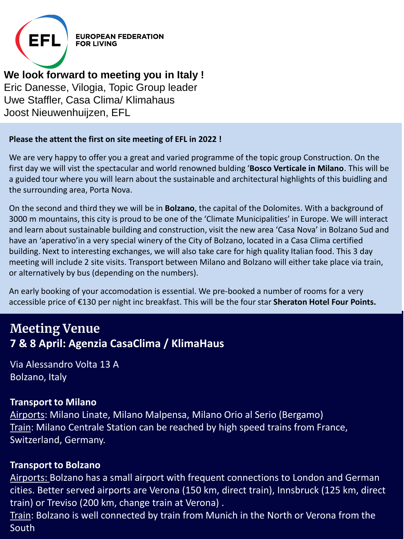

**EUROPEAN FEDERATION** 

# **We look forward to meeting you in Italy !**

Eric Danesse, Vilogia, Topic Group leader Uwe Staffler, Casa Clima/ Klimahaus Joost Nieuwenhuijzen, EFL

## **Please the attent the first on site meeting of EFL in 2022 !**

We are very happy to offer you a great and varied programme of the topic group Construction. On the first day we will vist the spectacular and world renowned bulding '**Bosco Verticale in Milano**. This will be a guided tour where you will learn about the sustainable and architectural highlights of this buidling and the surrounding area, Porta Nova.

On the second and third they we will be in **Bolzano**, the capital of the Dolomites. With a background of 3000 m mountains, this city is proud to be one of the 'Climate Municipalities' in Europe. We will interact and learn about sustainable building and construction, visit the new area 'Casa Nova' in Bolzano Sud and have an 'aperativo'in a very special winery of the City of Bolzano, located in a Casa Clima certified building. Next to interesting exchanges, we will also take care for high quality Italian food. This 3 day meeting will include 2 site visits. Transport between Milano and Bolzano will either take place via train, or alternatively by bus (depending on the numbers).

An early booking of your accomodation is essential. We pre-booked a number of rooms for a very accessible price of €130 per night inc breakfast. This will be the four star **Sheraton Hotel Four Points.**

# **Meeting Venue 7 & 8 April: Agenzia CasaClima / KlimaHaus**

Via Alessandro Volta 13 A Bolzano, Italy

# **Transport to Milano**

Airports: Milano Linate, Milano Malpensa, Milano Orio al Serio (Bergamo) Train: Milano Centrale Station can be reached by high speed trains from France, Switzerland, Germany.

# **Transport to Bolzano**

Airports: Bolzano has a small airport with frequent connections to London and German cities. Better served airports are Verona (150 km, direct train), Innsbruck (125 km, direct train) or Treviso (200 km, change train at Verona) .

Train: Bolzano is well connected by train from Munich in the North or Verona from the South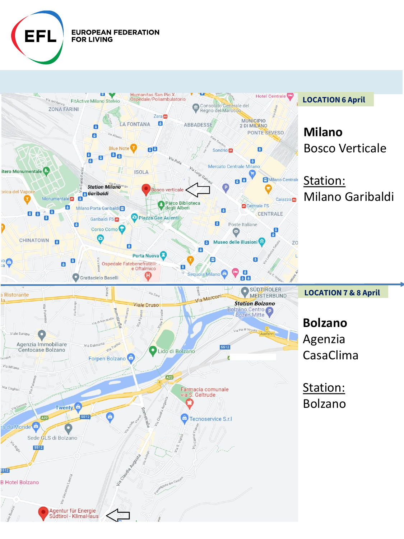

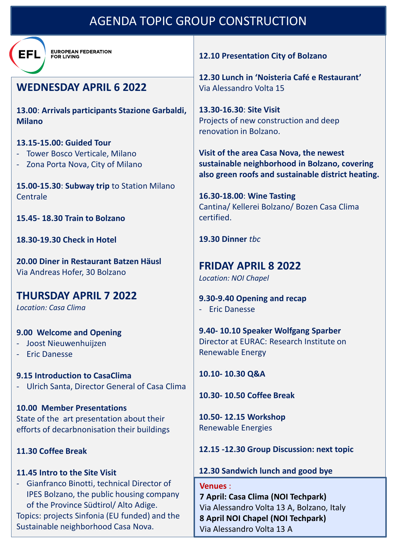# AGENDA TOPIC GROUP CONSTRUCTION



**EUROPEAN FEDERATION FOR LIVING** 

# **WEDNESDAY APRIL 6 2022**

**13.00**: **Arrivals participants Stazione Garbaldi, Milano**

#### **13.15-15.00: Guided Tour**

- Tower Bosco Verticale, Milano
- Zona Porta Nova, City of Milano

**15.00-15.30**: **Subway trip** to Station Milano **Centrale** 

**15.45- 18.30 Train to Bolzano**

**18.30-19.30 Check in Hotel**

**20.00 Diner in Restaurant Batzen Häusl** Via Andreas Hofer, 30 Bolzano

# **THURSDAY APRIL 7 2022**

*Location: Casa Clima*

### **9.00 Welcome and Opening**

- Joost Nieuwenhuijzen
- Eric Danesse

**9.15 Introduction to CasaClima** - Ulrich Santa, Director General of Casa Clima

**10.00 Member Presentations** State of the art presentation about their efforts of decarbnonisation their buildings

# **11.30 Coffee Break**

### **11.45 Intro to the Site Visit**

- Gianfranco Binotti, technical Director of IPES Bolzano, the public housing company of the Province Südtirol/ Alto Adige.

Topics: projects Sinfonia (EU funded) and the Sustainable neighborhood Casa Nova.

**12.10 Presentation City of Bolzano**

**12.30 Lunch in 'Noisteria Café e Restaurant'** Via Alessandro Volta 15

**13.30-16.30**: **Site Visit** Projects of new construction and deep renovation in Bolzano.

**Visit of the area Casa Nova, the newest sustainable neighborhood in Bolzano, covering also green roofs and sustainable district heating.**

**16.30-18.00**: **Wine Tasting** Cantina/ Kellerei Bolzano/ Bozen Casa Clima certified.

### **19.30 Dinner** *tbc*

**FRIDAY APRIL 8 2022** *Location: NOI Chapel*

**9.30-9.40 Opening and recap**  - Eric Danesse

**9.40- 10.10 Speaker Wolfgang Sparber** Director at EURAC: Research Institute on Renewable Energy

**10.10- 10.30 Q&A**

**10.30- 10.50 Coffee Break**

**10.50- 12.15 Workshop** Renewable Energies

**12.15 -12.30 Group Discussion: next topic**

# **12.30 Sandwich lunch and good bye**

**Venues** : **7 April: Casa Clima (NOI Techpark)** Via Alessandro Volta 13 A, Bolzano, Italy **8 April NOI Chapel (NOI Techpark)** Via Alessandro Volta 13 A